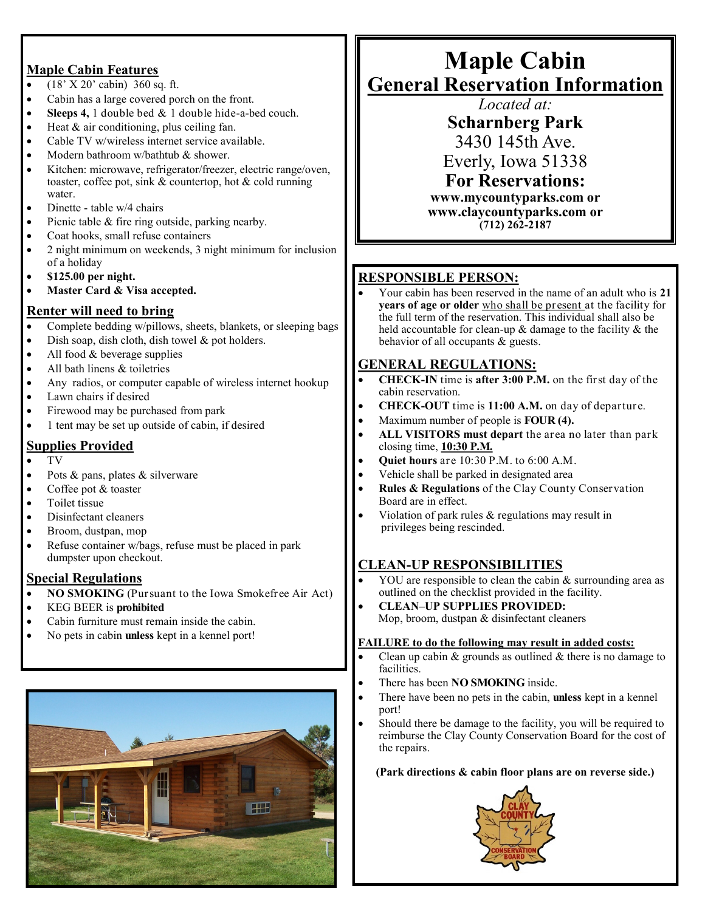#### **Maple Cabin Features**

- (18' X 20' cabin) 360 sq. ft.
- Cabin has a large covered porch on the front.
- **Sleeps 4,** 1 double bed & 1 double hide-a-bed couch.
- Heat & air conditioning, plus ceiling fan.
- Cable TV w/wireless internet service available.
- Modern bathroom w/bathtub & shower.
- Kitchen: microwave, refrigerator/freezer, electric range/oven, toaster, coffee pot, sink & countertop, hot & cold running water.
- Dinette table w/4 chairs
- Picnic table & fire ring outside, parking nearby.
- Coat hooks, small refuse containers
- 2 night minimum on weekends, 3 night minimum for inclusion of a holiday
- **\$125.00 per night.**
- **Master Card & Visa accepted.**

#### **Renter will need to bring**

- Complete bedding w/pillows, sheets, blankets, or sleeping bags
- Dish soap, dish cloth, dish towel & pot holders.
- All food & beverage supplies
- All bath linens & toiletries
- Any radios, or computer capable of wireless internet hookup
- Lawn chairs if desired
- Firewood may be purchased from park
- 1 tent may be set up outside of cabin, if desired

## **Supplies Provided**

- TV
- Pots & pans, plates & silverware
- Coffee pot & toaster
- Toilet tissue
- Disinfectant cleaners
- Broom, dustpan, mop
- Refuse container w/bags, refuse must be placed in park dumpster upon checkout.

#### **Special Regulations**

- **NO SMOKING** (Pursuant to the Iowa Smokefree Air Act)
- KEG BEER is **prohibited**
- Cabin furniture must remain inside the cabin.
- No pets in cabin **unless** kept in a kennel port!



# **Maple Cabin General Reservation Information**

*Located at:*

**Scharnberg Park**

3430 145th Ave.

Everly, Iowa 51338

**For Reservations: www.mycountyparks.com or www.claycountyparks.com or**

**(712) 262-2187**

### **RESPONSIBLE PERSON:**

 Your cabin has been reserved in the name of an adult who is **21 years of age or older** who shall be present at the facility for the full term of the reservation. This individual shall also be held accountable for clean-up & damage to the facility & the behavior of all occupants & guests.

### **GENERAL REGULATIONS:**

- **CHECK-IN** time is **after 3:00 P.M.** on the first day of the cabin reservation.
- **CHECK-OUT** time is **11:00 A.M.** on day of departure.
- Maximum number of people is **FOUR (4).**
- **ALL VISITORS must depart** the area no later than park closing time, **10:30 P.M.**
- **Quiet hours** are 10:30 P.M. to 6:00 A.M.
- Vehicle shall be parked in designated area
- **Rules & Regulations** of the Clay County Conservation Board are in effect.
- Violation of park rules  $&$  regulations may result in privileges being rescinded.

# **CLEAN-UP RESPONSIBILITIES**

- YOU are responsible to clean the cabin & surrounding area as outlined on the checklist provided in the facility.
- **CLEAN–UP SUPPLIES PROVIDED:** Mop, broom, dustpan & disinfectant cleaners

#### **FAILURE to do the following may result in added costs:**

- Clean up cabin  $&$  grounds as outlined  $&$  there is no damage to facilities.
- There has been **NO SMOKING** inside.
- There have been no pets in the cabin, **unless** kept in a kennel port!
- Should there be damage to the facility, you will be required to reimburse the Clay County Conservation Board for the cost of the repairs.

#### **(Park directions & cabin floor plans are on reverse side.)**